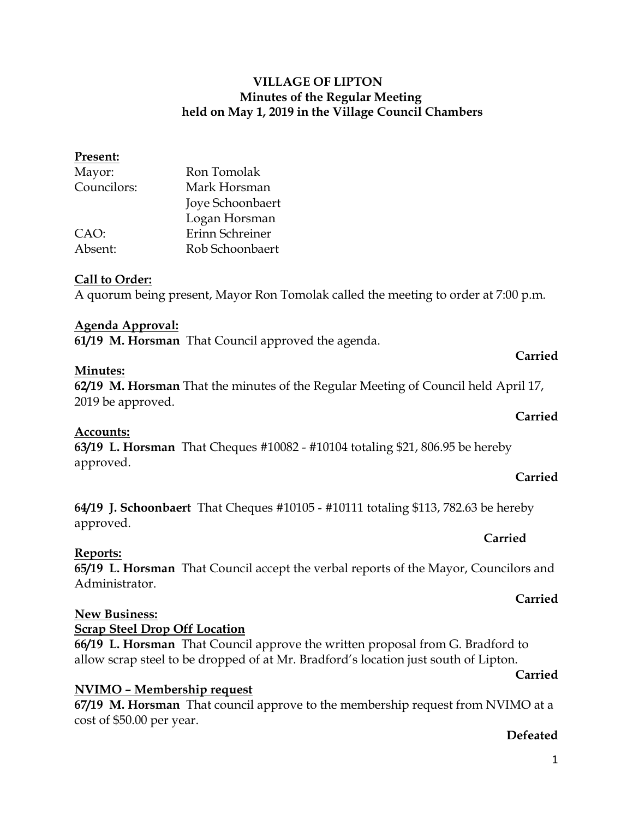**Present:**

Councilors: Mark Horsman Joye Schoonbaert Logan Horsman CAO: Erinn Schreiner Absent: Rob Schoonbaert

Mayor: Ron Tomolak

## **Call to Order:**

A quorum being present, Mayor Ron Tomolak called the meeting to order at 7:00 p.m.

## **Agenda Approval:**

**61/19 M. Horsman** That Council approved the agenda.

### **Minutes:**

**62/19 M. Horsman** That the minutes of the Regular Meeting of Council held April 17, 2019 be approved.

## **Accounts:**

**63/19 L. Horsman** That Cheques #10082 - #10104 totaling \$21, 806.95 be hereby approved.

### **Carried**

**Carried**

**Carried**

**Carried**

**64/19 J. Schoonbaert** That Cheques #10105 - #10111 totaling \$113, 782.63 be hereby approved.

## **Reports:**

**65/19 L. Horsman** That Council accept the verbal reports of the Mayor, Councilors and Administrator.

## **New Business:**

## **Scrap Steel Drop Off Location**

**66/19 L. Horsman** That Council approve the written proposal from G. Bradford to allow scrap steel to be dropped of at Mr. Bradford's location just south of Lipton.

## **Carried**

**Carried**

## **NVIMO – Membership request**

**67/19 M. Horsman** That council approve to the membership request from NVIMO at a cost of \$50.00 per year.

## **Defeated**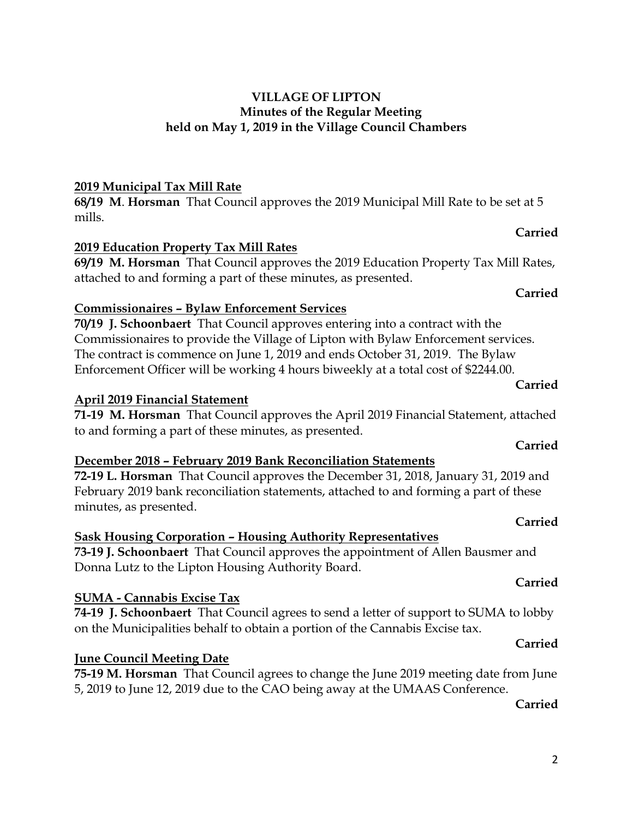# **2019 Municipal Tax Mill Rate**

**68/19 M**. **Horsman** That Council approves the 2019 Municipal Mill Rate to be set at 5 mills.

# **2019 Education Property Tax Mill Rates**

**69/19 M. Horsman** That Council approves the 2019 Education Property Tax Mill Rates, attached to and forming a part of these minutes, as presented.

# **Commissionaires – Bylaw Enforcement Services**

**70/19 J. Schoonbaert** That Council approves entering into a contract with the Commissionaires to provide the Village of Lipton with Bylaw Enforcement services. The contract is commence on June 1, 2019 and ends October 31, 2019. The Bylaw Enforcement Officer will be working 4 hours biweekly at a total cost of \$2244.00.

## **April 2019 Financial Statement**

**71-19 M. Horsman** That Council approves the April 2019 Financial Statement, attached to and forming a part of these minutes, as presented.

# **December 2018 – February 2019 Bank Reconciliation Statements**

**72-19 L. Horsman** That Council approves the December 31, 2018, January 31, 2019 and February 2019 bank reconciliation statements, attached to and forming a part of these minutes, as presented.

# **Sask Housing Corporation – Housing Authority Representatives**

**73-19 J. Schoonbaert** That Council approves the appointment of Allen Bausmer and Donna Lutz to the Lipton Housing Authority Board.

# **SUMA - Cannabis Excise Tax**

**74-19 J. Schoonbaert** That Council agrees to send a letter of support to SUMA to lobby on the Municipalities behalf to obtain a portion of the Cannabis Excise tax.

# **June Council Meeting Date**

**75-19 M. Horsman** That Council agrees to change the June 2019 meeting date from June 5, 2019 to June 12, 2019 due to the CAO being away at the UMAAS Conference.

## **Carried**

**Carried**

## **Carried**

# **Carried**

**Carried**

# **Carried**

**Carried**

**Carried**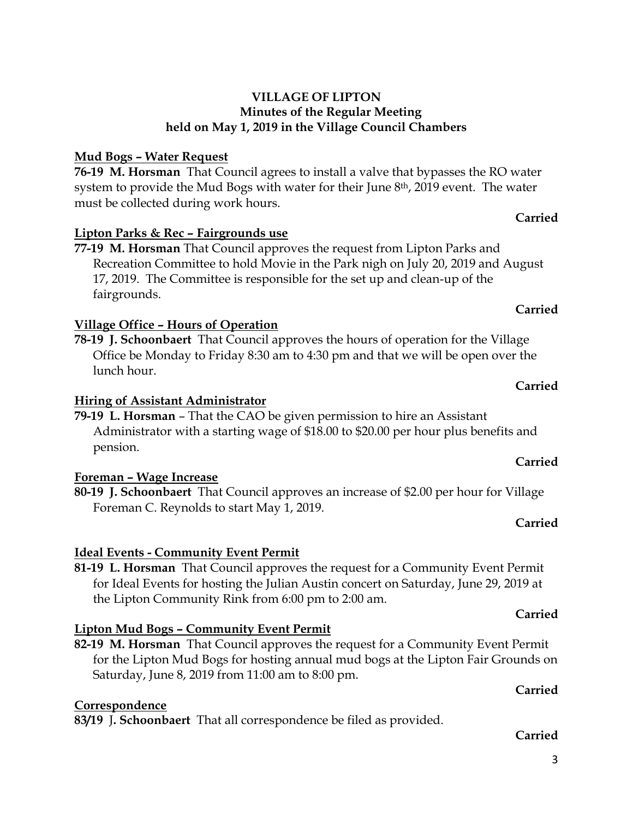# **Mud Bogs – Water Request**

**76-19 M. Horsman** That Council agrees to install a valve that bypasses the RO water system to provide the Mud Bogs with water for their June 8<sup>th</sup>, 2019 event. The water must be collected during work hours.

# **Lipton Parks & Rec – Fairgrounds use**

**77-19 M. Horsman** That Council approves the request from Lipton Parks and Recreation Committee to hold Movie in the Park nigh on July 20, 2019 and August 17, 2019. The Committee is responsible for the set up and clean-up of the fairgrounds.

# **Village Office – Hours of Operation**

**78-19 J. Schoonbaert** That Council approves the hours of operation for the Village Office be Monday to Friday 8:30 am to 4:30 pm and that we will be open over the lunch hour.

# **Hiring of Assistant Administrator**

**79-19 L. Horsman** – That the CAO be given permission to hire an Assistant Administrator with a starting wage of \$18.00 to \$20.00 per hour plus benefits and pension.

# **Foreman – Wage Increase**

**80-19 J. Schoonbaert** That Council approves an increase of \$2.00 per hour for Village Foreman C. Reynolds to start May 1, 2019.

# **Ideal Events - Community Event Permit**

**81-19 L. Horsman** That Council approves the request for a Community Event Permit for Ideal Events for hosting the Julian Austin concert on Saturday, June 29, 2019 at the Lipton Community Rink from 6:00 pm to 2:00 am.

# **Lipton Mud Bogs – Community Event Permit**

**82-19 M. Horsman** That Council approves the request for a Community Event Permit for the Lipton Mud Bogs for hosting annual mud bogs at the Lipton Fair Grounds on Saturday, June 8, 2019 from 11:00 am to 8:00 pm.

# **Correspondence**

**83/19** J**. Schoonbaert** That all correspondence be filed as provided.

## **Carried**

# **Carried**

**Carried**

## **Carried**

## **Carried**

**Carried**

# **Carried**

**Carried**